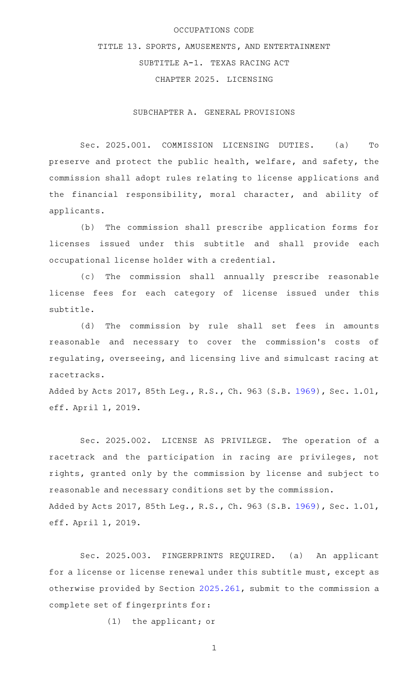### OCCUPATIONS CODE

TITLE 13. SPORTS, AMUSEMENTS, AND ENTERTAINMENT SUBTITLE A-1. TEXAS RACING ACT CHAPTER 2025. LICENSING

SUBCHAPTER A. GENERAL PROVISIONS

Sec. 2025.001. COMMISSION LICENSING DUTIES. (a) To preserve and protect the public health, welfare, and safety, the commission shall adopt rules relating to license applications and the financial responsibility, moral character, and ability of applicants.

(b) The commission shall prescribe application forms for licenses issued under this subtitle and shall provide each occupational license holder with a credential.

(c) The commission shall annually prescribe reasonable license fees for each category of license issued under this subtitle.

(d) The commission by rule shall set fees in amounts reasonable and necessary to cover the commission 's costs of regulating, overseeing, and licensing live and simulcast racing at racetracks.

Added by Acts 2017, 85th Leg., R.S., Ch. 963 (S.B. [1969](http://www.legis.state.tx.us/tlodocs/85R/billtext/html/SB01969F.HTM)), Sec. 1.01, eff. April 1, 2019.

Sec. 2025.002. LICENSE AS PRIVILEGE. The operation of a racetrack and the participation in racing are privileges, not rights, granted only by the commission by license and subject to reasonable and necessary conditions set by the commission. Added by Acts 2017, 85th Leg., R.S., Ch. 963 (S.B. [1969](http://www.legis.state.tx.us/tlodocs/85R/billtext/html/SB01969F.HTM)), Sec. 1.01, eff. April 1, 2019.

Sec. 2025.003. FINGERPRINTS REQUIRED. (a) An applicant for a license or license renewal under this subtitle must, except as otherwise provided by Section [2025.261](http://www.statutes.legis.state.tx.us/GetStatute.aspx?Code=OC&Value=2025.261), submit to the commission a complete set of fingerprints for:

 $(1)$  the applicant; or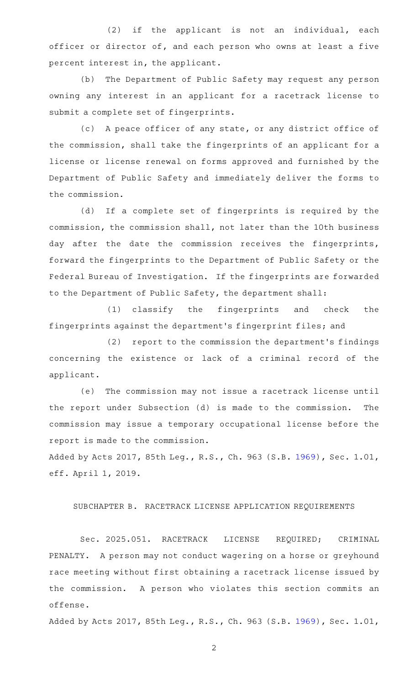$(2)$  if the applicant is not an individual, each officer or director of, and each person who owns at least a five percent interest in, the applicant.

(b) The Department of Public Safety may request any person owning any interest in an applicant for a racetrack license to submit a complete set of fingerprints.

(c) A peace officer of any state, or any district office of the commission, shall take the fingerprints of an applicant for a license or license renewal on forms approved and furnished by the Department of Public Safety and immediately deliver the forms to the commission.

(d) If a complete set of fingerprints is required by the commission, the commission shall, not later than the 10th business day after the date the commission receives the fingerprints, forward the fingerprints to the Department of Public Safety or the Federal Bureau of Investigation. If the fingerprints are forwarded to the Department of Public Safety, the department shall:

(1) classify the fingerprints and check the fingerprints against the department 's fingerprint files; and

(2) report to the commission the department's findings concerning the existence or lack of a criminal record of the applicant.

(e) The commission may not issue a racetrack license until the report under Subsection (d) is made to the commission. The commission may issue a temporary occupational license before the report is made to the commission.

Added by Acts 2017, 85th Leg., R.S., Ch. 963 (S.B. [1969](http://www.legis.state.tx.us/tlodocs/85R/billtext/html/SB01969F.HTM)), Sec. 1.01, eff. April 1, 2019.

## SUBCHAPTER B. RACETRACK LICENSE APPLICATION REQUIREMENTS

Sec. 2025.051. RACETRACK LICENSE REQUIRED; CRIMINAL PENALTY. A person may not conduct wagering on a horse or greyhound race meeting without first obtaining a racetrack license issued by the commission. A person who violates this section commits an offense.

Added by Acts 2017, 85th Leg., R.S., Ch. 963 (S.B. [1969](http://www.legis.state.tx.us/tlodocs/85R/billtext/html/SB01969F.HTM)), Sec. 1.01,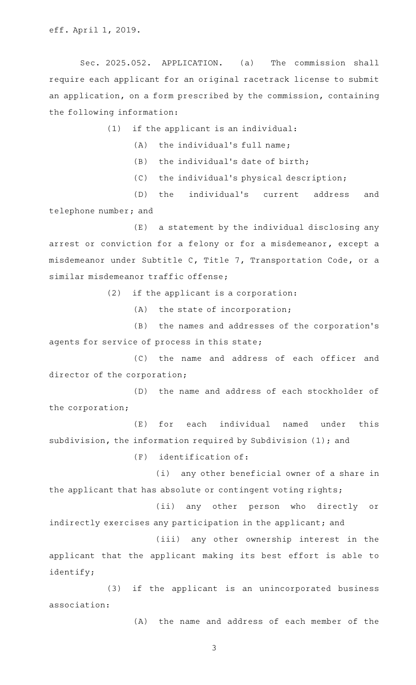Sec. 2025.052. APPLICATION. (a) The commission shall require each applicant for an original racetrack license to submit an application, on a form prescribed by the commission, containing the following information:

 $(1)$  if the applicant is an individual:

 $(A)$  the individual's full name;

 $(B)$  the individual's date of birth;

 $(C)$  the individual's physical description;

(D) the individual's current address and telephone number; and

(E) a statement by the individual disclosing any arrest or conviction for a felony or for a misdemeanor, except a misdemeanor under Subtitle C, Title 7, Transportation Code, or a similar misdemeanor traffic offense;

 $(2)$  if the applicant is a corporation:

 $(A)$  the state of incorporation;

(B) the names and addresses of the corporation's agents for service of process in this state;

(C) the name and address of each officer and director of the corporation;

(D) the name and address of each stockholder of the corporation;

(E) for each individual named under this subdivision, the information required by Subdivision (1); and

 $(F)$  identification of:

(i) any other beneficial owner of a share in the applicant that has absolute or contingent voting rights;

(ii) any other person who directly or indirectly exercises any participation in the applicant; and

(iii) any other ownership interest in the applicant that the applicant making its best effort is able to identify;

(3) if the applicant is an unincorporated business association:

(A) the name and address of each member of the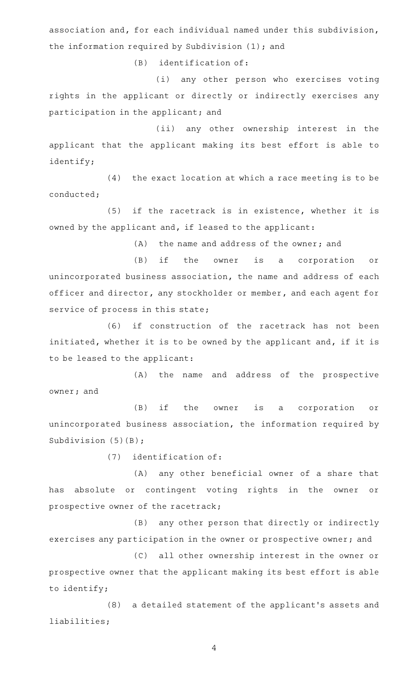association and, for each individual named under this subdivision, the information required by Subdivision (1); and

 $(B)$  identification of:

(i) any other person who exercises voting rights in the applicant or directly or indirectly exercises any participation in the applicant; and

(ii) any other ownership interest in the applicant that the applicant making its best effort is able to identify;

 $(4)$  the exact location at which a race meeting is to be conducted;

 $(5)$  if the racetrack is in existence, whether it is owned by the applicant and, if leased to the applicant:

(A) the name and address of the owner; and

(B) if the owner is a corporation or unincorporated business association, the name and address of each officer and director, any stockholder or member, and each agent for service of process in this state;

(6) if construction of the racetrack has not been initiated, whether it is to be owned by the applicant and, if it is to be leased to the applicant:

(A) the name and address of the prospective owner; and

(B) if the owner is a corporation or unincorporated business association, the information required by Subdivision (5)(B);

 $(7)$  identification of:

(A) any other beneficial owner of a share that has absolute or contingent voting rights in the owner or prospective owner of the racetrack;

(B) any other person that directly or indirectly exercises any participation in the owner or prospective owner; and

(C) all other ownership interest in the owner or prospective owner that the applicant making its best effort is able to identify;

(8) a detailed statement of the applicant's assets and liabilities;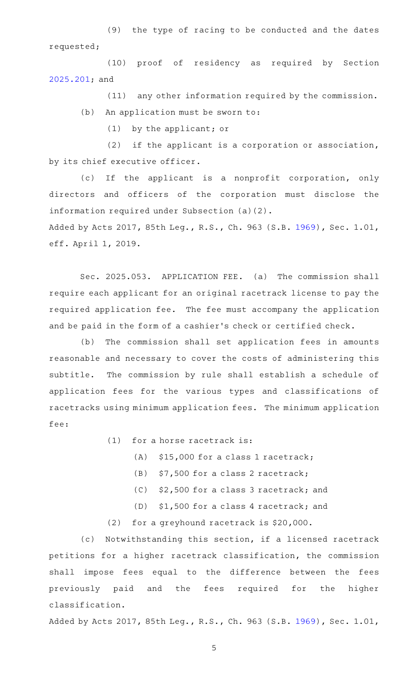(9) the type of racing to be conducted and the dates requested;

(10) proof of residency as required by Section [2025.201](http://www.statutes.legis.state.tx.us/GetStatute.aspx?Code=OC&Value=2025.201); and

 $(11)$  any other information required by the commission. (b) An application must be sworn to:

 $(1)$  by the applicant; or

 $(2)$  if the applicant is a corporation or association, by its chief executive officer.

(c) If the applicant is a nonprofit corporation, only directors and officers of the corporation must disclose the information required under Subsection (a)(2).

Added by Acts 2017, 85th Leg., R.S., Ch. 963 (S.B. [1969](http://www.legis.state.tx.us/tlodocs/85R/billtext/html/SB01969F.HTM)), Sec. 1.01, eff. April 1, 2019.

Sec. 2025.053. APPLICATION FEE. (a) The commission shall require each applicant for an original racetrack license to pay the required application fee. The fee must accompany the application and be paid in the form of a cashier 's check or certified check.

(b) The commission shall set application fees in amounts reasonable and necessary to cover the costs of administering this subtitle. The commission by rule shall establish a schedule of application fees for the various types and classifications of racetracks using minimum application fees. The minimum application fee:

 $(1)$  for a horse racetrack is:

- $(A)$  \$15,000 for a class 1 racetrack;
- (B)  $$7,500$  for a class 2 racetrack;
- $(C)$  \$2,500 for a class 3 racetrack; and
- (D) \$1,500 for a class 4 racetrack; and
- (2) for a greyhound racetrack is  $$20,000$ .

(c) Notwithstanding this section, if a licensed racetrack petitions for a higher racetrack classification, the commission shall impose fees equal to the difference between the fees previously paid and the fees required for the higher classification.

Added by Acts 2017, 85th Leg., R.S., Ch. 963 (S.B. [1969](http://www.legis.state.tx.us/tlodocs/85R/billtext/html/SB01969F.HTM)), Sec. 1.01,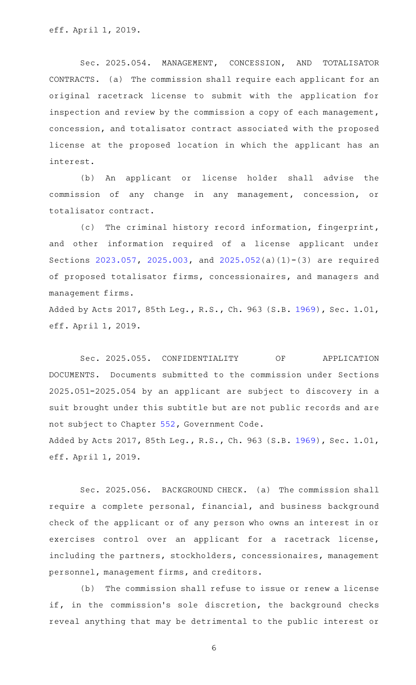Sec. 2025.054. MANAGEMENT, CONCESSION, AND TOTALISATOR CONTRACTS. (a) The commission shall require each applicant for an original racetrack license to submit with the application for inspection and review by the commission a copy of each management, concession, and totalisator contract associated with the proposed license at the proposed location in which the applicant has an interest.

(b) An applicant or license holder shall advise the commission of any change in any management, concession, or totalisator contract.

(c) The criminal history record information, fingerprint, and other information required of a license applicant under Sections [2023.057,](http://www.statutes.legis.state.tx.us/GetStatute.aspx?Code=OC&Value=2023.057) [2025.003,](http://www.statutes.legis.state.tx.us/GetStatute.aspx?Code=OC&Value=2025.003) and [2025.052](http://www.statutes.legis.state.tx.us/GetStatute.aspx?Code=OC&Value=2025.052)(a)(1)-(3) are required of proposed totalisator firms, concessionaires, and managers and management firms.

Added by Acts 2017, 85th Leg., R.S., Ch. 963 (S.B. [1969](http://www.legis.state.tx.us/tlodocs/85R/billtext/html/SB01969F.HTM)), Sec. 1.01, eff. April 1, 2019.

Sec. 2025.055. CONFIDENTIALITY OF APPLICATION DOCUMENTS. Documents submitted to the commission under Sections 2025.051-2025.054 by an applicant are subject to discovery in a suit brought under this subtitle but are not public records and are not subject to Chapter [552](http://www.statutes.legis.state.tx.us/GetStatute.aspx?Code=GV&Value=552), Government Code. Added by Acts 2017, 85th Leg., R.S., Ch. 963 (S.B. [1969](http://www.legis.state.tx.us/tlodocs/85R/billtext/html/SB01969F.HTM)), Sec. 1.01, eff. April 1, 2019.

Sec. 2025.056. BACKGROUND CHECK. (a) The commission shall require a complete personal, financial, and business background check of the applicant or of any person who owns an interest in or exercises control over an applicant for a racetrack license, including the partners, stockholders, concessionaires, management personnel, management firms, and creditors.

(b) The commission shall refuse to issue or renew a license if, in the commission's sole discretion, the background checks reveal anything that may be detrimental to the public interest or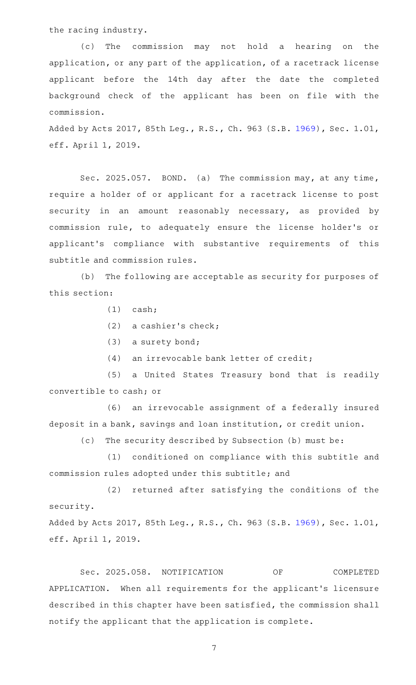the racing industry.

(c) The commission may not hold a hearing on the application, or any part of the application, of a racetrack license applicant before the 14th day after the date the completed background check of the applicant has been on file with the commission.

Added by Acts 2017, 85th Leg., R.S., Ch. 963 (S.B. [1969](http://www.legis.state.tx.us/tlodocs/85R/billtext/html/SB01969F.HTM)), Sec. 1.01, eff. April 1, 2019.

Sec. 2025.057. BOND. (a) The commission may, at any time, require a holder of or applicant for a racetrack license to post security in an amount reasonably necessary, as provided by commission rule, to adequately ensure the license holder 's or applicant 's compliance with substantive requirements of this subtitle and commission rules.

(b) The following are acceptable as security for purposes of this section:

 $(1)$  cash;

(2) a cashier's check;

 $(3)$  a surety bond;

 $(4)$  an irrevocable bank letter of credit;

(5) a United States Treasury bond that is readily convertible to cash; or

(6) an irrevocable assignment of a federally insured deposit in a bank, savings and loan institution, or credit union.

(c) The security described by Subsection (b) must be:

(1) conditioned on compliance with this subtitle and commission rules adopted under this subtitle; and

(2) returned after satisfying the conditions of the security.

Added by Acts 2017, 85th Leg., R.S., Ch. 963 (S.B. [1969](http://www.legis.state.tx.us/tlodocs/85R/billtext/html/SB01969F.HTM)), Sec. 1.01, eff. April 1, 2019.

Sec. 2025.058. NOTIFICATION OF COMPLETED APPLICATION. When all requirements for the applicant's licensure described in this chapter have been satisfied, the commission shall notify the applicant that the application is complete.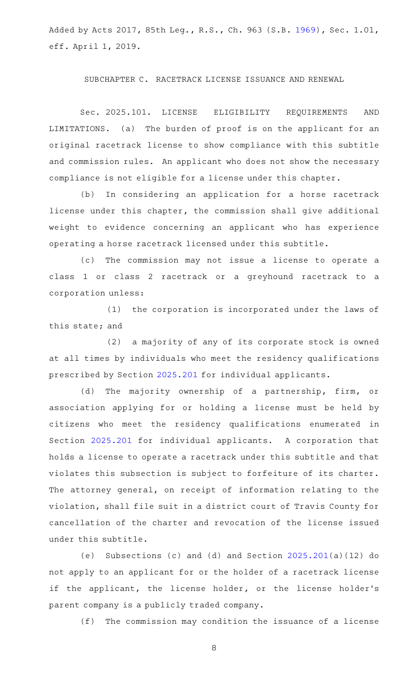Added by Acts 2017, 85th Leg., R.S., Ch. 963 (S.B. [1969](http://www.legis.state.tx.us/tlodocs/85R/billtext/html/SB01969F.HTM)), Sec. 1.01, eff. April 1, 2019.

## SUBCHAPTER C. RACETRACK LICENSE ISSUANCE AND RENEWAL

Sec. 2025.101. LICENSE ELIGIBILITY REQUIREMENTS AND LIMITATIONS. (a) The burden of proof is on the applicant for an original racetrack license to show compliance with this subtitle and commission rules. An applicant who does not show the necessary compliance is not eligible for a license under this chapter.

(b) In considering an application for a horse racetrack license under this chapter, the commission shall give additional weight to evidence concerning an applicant who has experience operating a horse racetrack licensed under this subtitle.

(c) The commission may not issue a license to operate a class 1 or class 2 racetrack or a greyhound racetrack to a corporation unless:

(1) the corporation is incorporated under the laws of this state; and

 $(2)$  a majority of any of its corporate stock is owned at all times by individuals who meet the residency qualifications prescribed by Section [2025.201](http://www.statutes.legis.state.tx.us/GetStatute.aspx?Code=OC&Value=2025.201) for individual applicants.

(d) The majority ownership of a partnership, firm, or association applying for or holding a license must be held by citizens who meet the residency qualifications enumerated in Section [2025.201](http://www.statutes.legis.state.tx.us/GetStatute.aspx?Code=OC&Value=2025.201) for individual applicants. A corporation that holds a license to operate a racetrack under this subtitle and that violates this subsection is subject to forfeiture of its charter. The attorney general, on receipt of information relating to the violation, shall file suit in a district court of Travis County for cancellation of the charter and revocation of the license issued under this subtitle.

(e) Subsections (c) and (d) and Section  $2025.201(a)(12)$  $2025.201(a)(12)$  do not apply to an applicant for or the holder of a racetrack license if the applicant, the license holder, or the license holder's parent company is a publicly traded company.

(f) The commission may condition the issuance of a license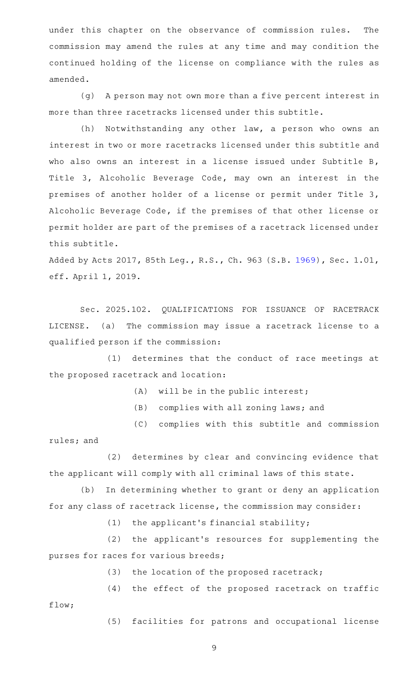under this chapter on the observance of commission rules. The commission may amend the rules at any time and may condition the continued holding of the license on compliance with the rules as amended.

(g) A person may not own more than a five percent interest in more than three racetracks licensed under this subtitle.

(h) Notwithstanding any other law, a person who owns an interest in two or more racetracks licensed under this subtitle and who also owns an interest in a license issued under Subtitle B, Title 3, Alcoholic Beverage Code, may own an interest in the premises of another holder of a license or permit under Title 3, Alcoholic Beverage Code, if the premises of that other license or permit holder are part of the premises of a racetrack licensed under this subtitle.

Added by Acts 2017, 85th Leg., R.S., Ch. 963 (S.B. [1969](http://www.legis.state.tx.us/tlodocs/85R/billtext/html/SB01969F.HTM)), Sec. 1.01, eff. April 1, 2019.

Sec. 2025.102. QUALIFICATIONS FOR ISSUANCE OF RACETRACK LICENSE. (a) The commission may issue a racetrack license to a qualified person if the commission:

(1) determines that the conduct of race meetings at the proposed racetrack and location:

- $(A)$  will be in the public interest;
- (B) complies with all zoning laws; and
- (C) complies with this subtitle and commission rules; and

(2) determines by clear and convincing evidence that the applicant will comply with all criminal laws of this state.

(b) In determining whether to grant or deny an application for any class of racetrack license, the commission may consider:

 $(1)$  the applicant's financial stability;

(2) the applicant's resources for supplementing the purses for races for various breeds;

(3) the location of the proposed racetrack;

 $(4)$  the effect of the proposed racetrack on traffic flow;

(5) facilities for patrons and occupational license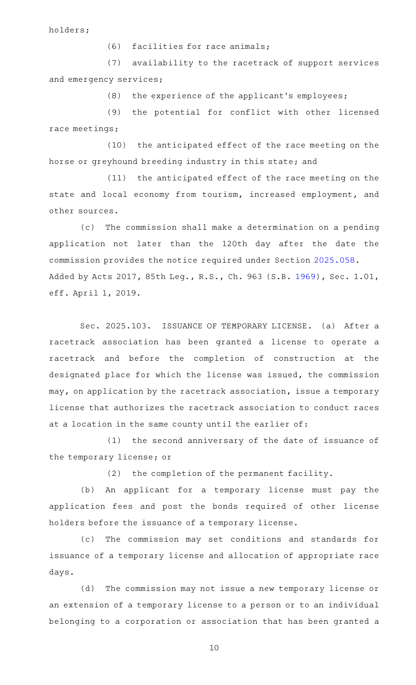holders;

 $(6)$  facilities for race animals;

(7) availability to the racetrack of support services and emergency services;

 $(8)$  the experience of the applicant's employees;

(9) the potential for conflict with other licensed race meetings;

(10) the anticipated effect of the race meeting on the horse or greyhound breeding industry in this state; and

(11) the anticipated effect of the race meeting on the state and local economy from tourism, increased employment, and other sources.

(c) The commission shall make a determination on a pending application not later than the 120th day after the date the commission provides the notice required under Section [2025.058](http://www.statutes.legis.state.tx.us/GetStatute.aspx?Code=OC&Value=2025.058). Added by Acts 2017, 85th Leg., R.S., Ch. 963 (S.B. [1969](http://www.legis.state.tx.us/tlodocs/85R/billtext/html/SB01969F.HTM)), Sec. 1.01, eff. April 1, 2019.

Sec. 2025.103. ISSUANCE OF TEMPORARY LICENSE. (a) After a racetrack association has been granted a license to operate a racetrack and before the completion of construction at the designated place for which the license was issued, the commission may, on application by the racetrack association, issue a temporary license that authorizes the racetrack association to conduct races at a location in the same county until the earlier of:

(1) the second anniversary of the date of issuance of the temporary license; or

(2) the completion of the permanent facility.

(b) An applicant for a temporary license must pay the application fees and post the bonds required of other license holders before the issuance of a temporary license.

(c) The commission may set conditions and standards for issuance of a temporary license and allocation of appropriate race days.

(d) The commission may not issue a new temporary license or an extension of a temporary license to a person or to an individual belonging to a corporation or association that has been granted a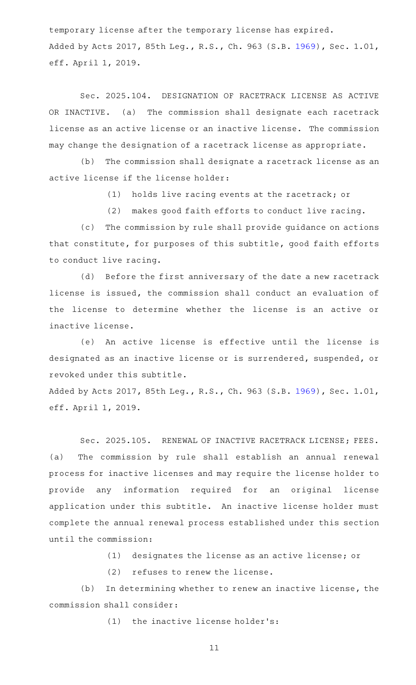temporary license after the temporary license has expired. Added by Acts 2017, 85th Leg., R.S., Ch. 963 (S.B. [1969](http://www.legis.state.tx.us/tlodocs/85R/billtext/html/SB01969F.HTM)), Sec. 1.01, eff. April 1, 2019.

Sec. 2025.104. DESIGNATION OF RACETRACK LICENSE AS ACTIVE OR INACTIVE. (a) The commission shall designate each racetrack license as an active license or an inactive license. The commission may change the designation of a racetrack license as appropriate.

(b) The commission shall designate a racetrack license as an active license if the license holder:

(1) holds live racing events at the racetrack; or

(2) makes good faith efforts to conduct live racing.

(c) The commission by rule shall provide guidance on actions that constitute, for purposes of this subtitle, good faith efforts to conduct live racing.

(d) Before the first anniversary of the date a new racetrack license is issued, the commission shall conduct an evaluation of the license to determine whether the license is an active or inactive license.

(e) An active license is effective until the license is designated as an inactive license or is surrendered, suspended, or revoked under this subtitle.

Added by Acts 2017, 85th Leg., R.S., Ch. 963 (S.B. [1969](http://www.legis.state.tx.us/tlodocs/85R/billtext/html/SB01969F.HTM)), Sec. 1.01, eff. April 1, 2019.

Sec. 2025.105. RENEWAL OF INACTIVE RACETRACK LICENSE; FEES. (a) The commission by rule shall establish an annual renewal process for inactive licenses and may require the license holder to provide any information required for an original license application under this subtitle. An inactive license holder must complete the annual renewal process established under this section until the commission:

 $(1)$  designates the license as an active license; or

 $(2)$  refuses to renew the license.

(b) In determining whether to renew an inactive license, the commission shall consider:

 $(1)$  the inactive license holder's: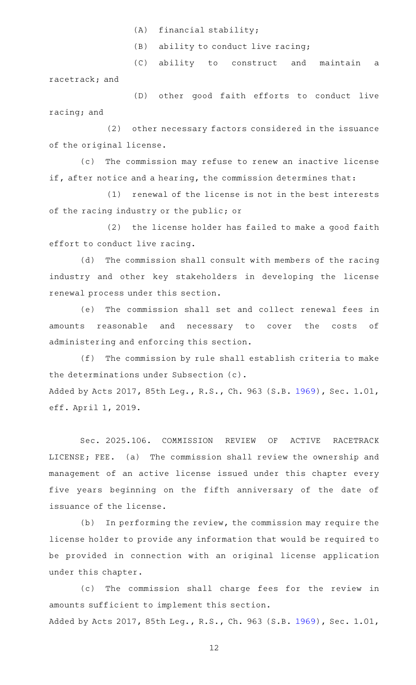$(A)$  financial stability;

 $(B)$  ability to conduct live racing;

(C) ability to construct and maintain a racetrack; and

(D) other good faith efforts to conduct live racing; and

(2) other necessary factors considered in the issuance of the original license.

(c) The commission may refuse to renew an inactive license if, after notice and a hearing, the commission determines that:

(1) renewal of the license is not in the best interests of the racing industry or the public; or

(2) the license holder has failed to make a good faith effort to conduct live racing.

(d) The commission shall consult with members of the racing industry and other key stakeholders in developing the license renewal process under this section.

(e) The commission shall set and collect renewal fees in amounts reasonable and necessary to cover the costs of administering and enforcing this section.

(f) The commission by rule shall establish criteria to make the determinations under Subsection (c). Added by Acts 2017, 85th Leg., R.S., Ch. 963 (S.B. [1969](http://www.legis.state.tx.us/tlodocs/85R/billtext/html/SB01969F.HTM)), Sec. 1.01, eff. April 1, 2019.

Sec. 2025.106. COMMISSION REVIEW OF ACTIVE RACETRACK LICENSE; FEE. (a) The commission shall review the ownership and management of an active license issued under this chapter every five years beginning on the fifth anniversary of the date of issuance of the license.

(b) In performing the review, the commission may require the license holder to provide any information that would be required to be provided in connection with an original license application under this chapter.

(c) The commission shall charge fees for the review in amounts sufficient to implement this section. Added by Acts 2017, 85th Leg., R.S., Ch. 963 (S.B. [1969](http://www.legis.state.tx.us/tlodocs/85R/billtext/html/SB01969F.HTM)), Sec. 1.01,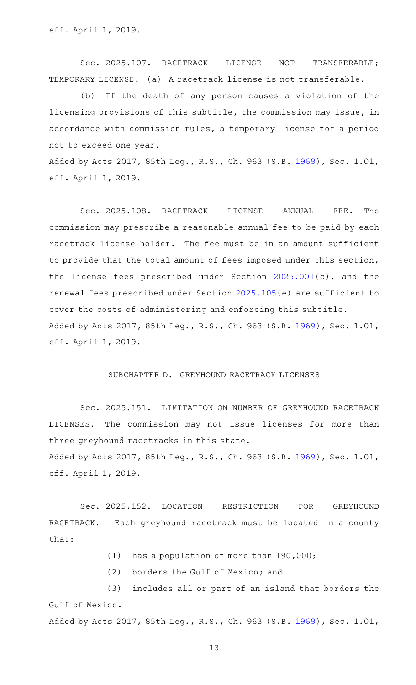Sec. 2025.107. RACETRACK LICENSE NOT TRANSFERABLE; TEMPORARY LICENSE. (a) A racetrack license is not transferable.

(b) If the death of any person causes a violation of the licensing provisions of this subtitle, the commission may issue, in accordance with commission rules, a temporary license for a period not to exceed one year.

Added by Acts 2017, 85th Leg., R.S., Ch. 963 (S.B. [1969](http://www.legis.state.tx.us/tlodocs/85R/billtext/html/SB01969F.HTM)), Sec. 1.01, eff. April 1, 2019.

Sec. 2025.108. RACETRACK LICENSE ANNUAL FEE. The commission may prescribe a reasonable annual fee to be paid by each racetrack license holder. The fee must be in an amount sufficient to provide that the total amount of fees imposed under this section, the license fees prescribed under Section [2025.001\(](http://www.statutes.legis.state.tx.us/GetStatute.aspx?Code=OC&Value=2025.001)c), and the renewal fees prescribed under Section [2025.105\(](http://www.statutes.legis.state.tx.us/GetStatute.aspx?Code=OC&Value=2025.105)e) are sufficient to cover the costs of administering and enforcing this subtitle. Added by Acts 2017, 85th Leg., R.S., Ch. 963 (S.B. [1969](http://www.legis.state.tx.us/tlodocs/85R/billtext/html/SB01969F.HTM)), Sec. 1.01, eff. April 1, 2019.

#### SUBCHAPTER D. GREYHOUND RACETRACK LICENSES

Sec. 2025.151. LIMITATION ON NUMBER OF GREYHOUND RACETRACK LICENSES. The commission may not issue licenses for more than three greyhound racetracks in this state. Added by Acts 2017, 85th Leg., R.S., Ch. 963 (S.B. [1969](http://www.legis.state.tx.us/tlodocs/85R/billtext/html/SB01969F.HTM)), Sec. 1.01, eff. April 1, 2019.

Sec. 2025.152. LOCATION RESTRICTION FOR GREYHOUND RACETRACK. Each greyhound racetrack must be located in a county that:

- $(1)$  has a population of more than 190,000;
- (2) borders the Gulf of Mexico; and

(3) includes all or part of an island that borders the Gulf of Mexico. Added by Acts 2017, 85th Leg., R.S., Ch. 963 (S.B. [1969](http://www.legis.state.tx.us/tlodocs/85R/billtext/html/SB01969F.HTM)), Sec. 1.01,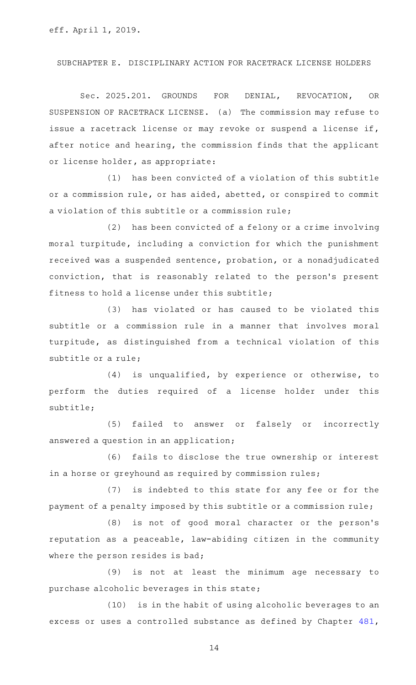## SUBCHAPTER E. DISCIPLINARY ACTION FOR RACETRACK LICENSE HOLDERS

Sec. 2025.201. GROUNDS FOR DENIAL, REVOCATION, OR SUSPENSION OF RACETRACK LICENSE. (a) The commission may refuse to issue a racetrack license or may revoke or suspend a license if, after notice and hearing, the commission finds that the applicant or license holder, as appropriate:

 $(1)$  has been convicted of a violation of this subtitle or a commission rule, or has aided, abetted, or conspired to commit a violation of this subtitle or a commission rule;

(2) has been convicted of a felony or a crime involving moral turpitude, including a conviction for which the punishment received was a suspended sentence, probation, or a nonadjudicated conviction, that is reasonably related to the person 's present fitness to hold a license under this subtitle;

(3) has violated or has caused to be violated this subtitle or a commission rule in a manner that involves moral turpitude, as distinguished from a technical violation of this subtitle or a rule;

 $(4)$  is unqualified, by experience or otherwise, to perform the duties required of a license holder under this subtitle;

(5) failed to answer or falsely or incorrectly answered a question in an application;

(6) fails to disclose the true ownership or interest in a horse or greyhound as required by commission rules;

 $(7)$  is indebted to this state for any fee or for the payment of a penalty imposed by this subtitle or a commission rule;

(8) is not of good moral character or the person's reputation as a peaceable, law-abiding citizen in the community where the person resides is bad;

(9) is not at least the minimum age necessary to purchase alcoholic beverages in this state;

(10) is in the habit of using alcoholic beverages to an excess or uses a controlled substance as defined by Chapter [481](http://www.statutes.legis.state.tx.us/GetStatute.aspx?Code=HS&Value=481),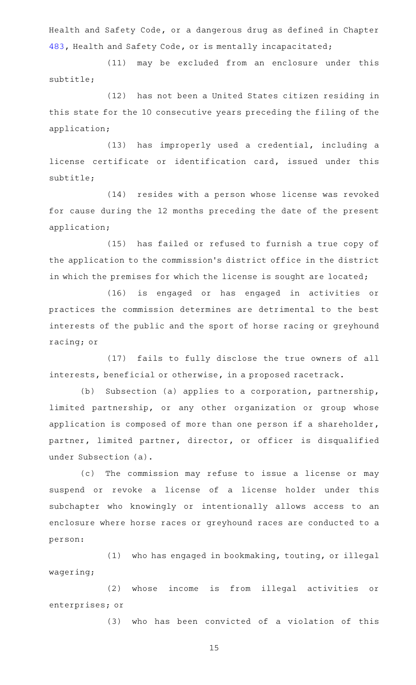Health and Safety Code, or a dangerous drug as defined in Chapter [483,](http://www.statutes.legis.state.tx.us/GetStatute.aspx?Code=HS&Value=483) Health and Safety Code, or is mentally incapacitated;

(11) may be excluded from an enclosure under this subtitle;

(12) has not been a United States citizen residing in this state for the 10 consecutive years preceding the filing of the application;

(13) has improperly used a credential, including a license certificate or identification card, issued under this subtitle;

(14) resides with a person whose license was revoked for cause during the 12 months preceding the date of the present application;

(15) has failed or refused to furnish a true copy of the application to the commission 's district office in the district in which the premises for which the license is sought are located;

(16) is engaged or has engaged in activities or practices the commission determines are detrimental to the best interests of the public and the sport of horse racing or greyhound racing; or

(17) fails to fully disclose the true owners of all interests, beneficial or otherwise, in a proposed racetrack.

(b) Subsection (a) applies to a corporation, partnership, limited partnership, or any other organization or group whose application is composed of more than one person if a shareholder, partner, limited partner, director, or officer is disqualified under Subsection (a).

(c) The commission may refuse to issue a license or may suspend or revoke a license of a license holder under this subchapter who knowingly or intentionally allows access to an enclosure where horse races or greyhound races are conducted to a person:

(1) who has engaged in bookmaking, touting, or illegal wagering;

(2) whose income is from illegal activities or enterprises; or

(3) who has been convicted of a violation of this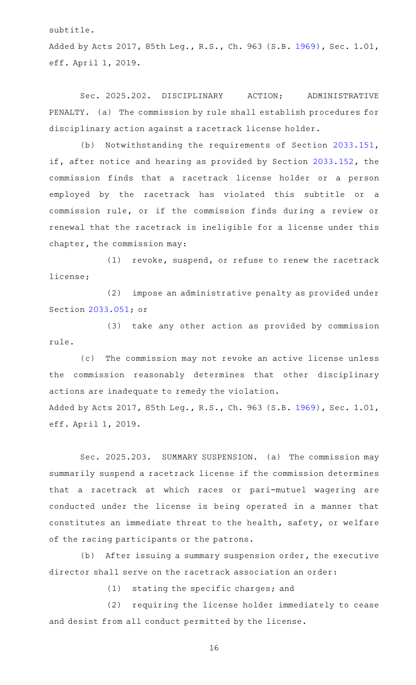subtitle.

Added by Acts 2017, 85th Leg., R.S., Ch. 963 (S.B. [1969](http://www.legis.state.tx.us/tlodocs/85R/billtext/html/SB01969F.HTM)), Sec. 1.01, eff. April 1, 2019.

Sec. 2025.202. DISCIPLINARY ACTION; ADMINISTRATIVE PENALTY. (a) The commission by rule shall establish procedures for disciplinary action against a racetrack license holder.

(b) Notwithstanding the requirements of Section [2033.151](http://www.statutes.legis.state.tx.us/GetStatute.aspx?Code=OC&Value=2033.151), if, after notice and hearing as provided by Section [2033.152,](http://www.statutes.legis.state.tx.us/GetStatute.aspx?Code=OC&Value=2033.152) the commission finds that a racetrack license holder or a person employed by the racetrack has violated this subtitle or a commission rule, or if the commission finds during a review or renewal that the racetrack is ineligible for a license under this chapter, the commission may:

 $(1)$  revoke, suspend, or refuse to renew the racetrack license;

(2) impose an administrative penalty as provided under Section [2033.051](http://www.statutes.legis.state.tx.us/GetStatute.aspx?Code=OC&Value=2033.051); or

(3) take any other action as provided by commission rule.

(c) The commission may not revoke an active license unless the commission reasonably determines that other disciplinary actions are inadequate to remedy the violation. Added by Acts 2017, 85th Leg., R.S., Ch. 963 (S.B. [1969](http://www.legis.state.tx.us/tlodocs/85R/billtext/html/SB01969F.HTM)), Sec. 1.01,

eff. April 1, 2019.

Sec. 2025.203. SUMMARY SUSPENSION. (a) The commission may summarily suspend a racetrack license if the commission determines that a racetrack at which races or pari-mutuel wagering are conducted under the license is being operated in a manner that constitutes an immediate threat to the health, safety, or welfare of the racing participants or the patrons.

(b) After issuing a summary suspension order, the executive director shall serve on the racetrack association an order:

 $(1)$  stating the specific charges; and

(2) requiring the license holder immediately to cease and desist from all conduct permitted by the license.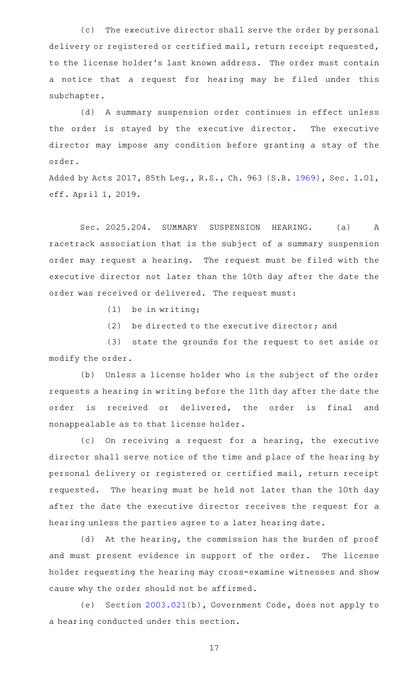(c) The executive director shall serve the order by personal delivery or registered or certified mail, return receipt requested, to the license holder 's last known address. The order must contain a notice that a request for hearing may be filed under this subchapter.

(d) A summary suspension order continues in effect unless the order is stayed by the executive director. The executive director may impose any condition before granting a stay of the order.

Added by Acts 2017, 85th Leg., R.S., Ch. 963 (S.B. [1969](http://www.legis.state.tx.us/tlodocs/85R/billtext/html/SB01969F.HTM)), Sec. 1.01, eff. April 1, 2019.

Sec. 2025.204. SUMMARY SUSPENSION HEARING. (a) A racetrack association that is the subject of a summary suspension order may request a hearing. The request must be filed with the executive director not later than the 10th day after the date the order was received or delivered. The request must:

 $(1)$  be in writing;

 $(2)$  be directed to the executive director; and

(3) state the grounds for the request to set aside or modify the order.

(b) Unless a license holder who is the subject of the order requests a hearing in writing before the 11th day after the date the order is received or delivered, the order is final and nonappealable as to that license holder.

(c) On receiving a request for a hearing, the executive director shall serve notice of the time and place of the hearing by personal delivery or registered or certified mail, return receipt requested. The hearing must be held not later than the 10th day after the date the executive director receives the request for a hearing unless the parties agree to a later hearing date.

(d) At the hearing, the commission has the burden of proof and must present evidence in support of the order. The license holder requesting the hearing may cross-examine witnesses and show cause why the order should not be affirmed.

(e) Section [2003.021](http://www.statutes.legis.state.tx.us/GetStatute.aspx?Code=GV&Value=2003.021)(b), Government Code, does not apply to a hearing conducted under this section.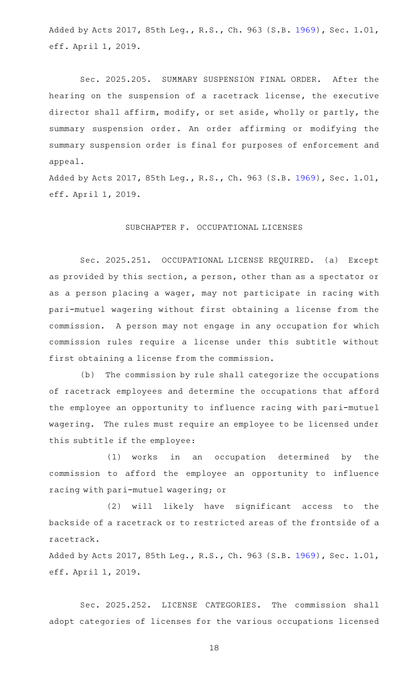Added by Acts 2017, 85th Leg., R.S., Ch. 963 (S.B. [1969](http://www.legis.state.tx.us/tlodocs/85R/billtext/html/SB01969F.HTM)), Sec. 1.01, eff. April 1, 2019.

Sec. 2025.205. SUMMARY SUSPENSION FINAL ORDER. After the hearing on the suspension of a racetrack license, the executive director shall affirm, modify, or set aside, wholly or partly, the summary suspension order. An order affirming or modifying the summary suspension order is final for purposes of enforcement and appeal.

Added by Acts 2017, 85th Leg., R.S., Ch. 963 (S.B. [1969](http://www.legis.state.tx.us/tlodocs/85R/billtext/html/SB01969F.HTM)), Sec. 1.01, eff. April 1, 2019.

# SUBCHAPTER F. OCCUPATIONAL LICENSES

Sec. 2025.251. OCCUPATIONAL LICENSE REQUIRED. (a) Except as provided by this section, a person, other than as a spectator or as a person placing a wager, may not participate in racing with pari-mutuel wagering without first obtaining a license from the commission. A person may not engage in any occupation for which commission rules require a license under this subtitle without first obtaining a license from the commission.

(b) The commission by rule shall categorize the occupations of racetrack employees and determine the occupations that afford the employee an opportunity to influence racing with pari-mutuel wagering. The rules must require an employee to be licensed under this subtitle if the employee:

(1) works in an occupation determined by the commission to afford the employee an opportunity to influence racing with pari-mutuel wagering; or

(2) will likely have significant access to the backside of a racetrack or to restricted areas of the frontside of a racetrack.

Added by Acts 2017, 85th Leg., R.S., Ch. 963 (S.B. [1969](http://www.legis.state.tx.us/tlodocs/85R/billtext/html/SB01969F.HTM)), Sec. 1.01, eff. April 1, 2019.

Sec. 2025.252. LICENSE CATEGORIES. The commission shall adopt categories of licenses for the various occupations licensed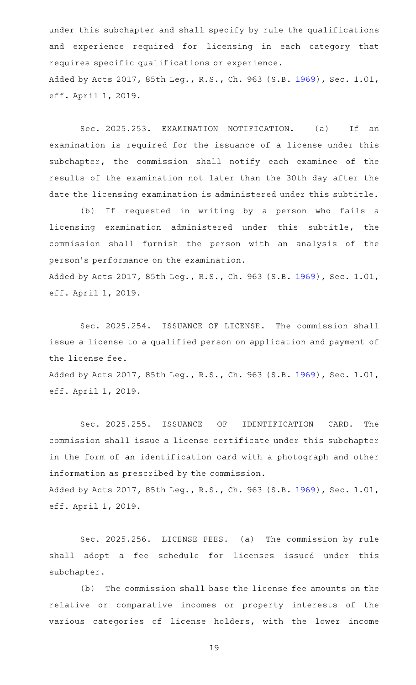under this subchapter and shall specify by rule the qualifications and experience required for licensing in each category that requires specific qualifications or experience. Added by Acts 2017, 85th Leg., R.S., Ch. 963 (S.B. [1969](http://www.legis.state.tx.us/tlodocs/85R/billtext/html/SB01969F.HTM)), Sec. 1.01, eff. April 1, 2019.

Sec. 2025.253. EXAMINATION NOTIFICATION. (a) If an examination is required for the issuance of a license under this subchapter, the commission shall notify each examinee of the results of the examination not later than the 30th day after the date the licensing examination is administered under this subtitle.

(b) If requested in writing by a person who fails a licensing examination administered under this subtitle, the commission shall furnish the person with an analysis of the person 's performance on the examination. Added by Acts 2017, 85th Leg., R.S., Ch. 963 (S.B. [1969](http://www.legis.state.tx.us/tlodocs/85R/billtext/html/SB01969F.HTM)), Sec. 1.01, eff. April 1, 2019.

Sec. 2025.254. ISSUANCE OF LICENSE. The commission shall issue a license to a qualified person on application and payment of the license fee.

Added by Acts 2017, 85th Leg., R.S., Ch. 963 (S.B. [1969](http://www.legis.state.tx.us/tlodocs/85R/billtext/html/SB01969F.HTM)), Sec. 1.01, eff. April 1, 2019.

Sec. 2025.255. ISSUANCE OF IDENTIFICATION CARD. The commission shall issue a license certificate under this subchapter in the form of an identification card with a photograph and other information as prescribed by the commission. Added by Acts 2017, 85th Leg., R.S., Ch. 963 (S.B. [1969](http://www.legis.state.tx.us/tlodocs/85R/billtext/html/SB01969F.HTM)), Sec. 1.01, eff. April 1, 2019.

Sec. 2025.256. LICENSE FEES. (a) The commission by rule shall adopt a fee schedule for licenses issued under this subchapter.

(b) The commission shall base the license fee amounts on the relative or comparative incomes or property interests of the various categories of license holders, with the lower income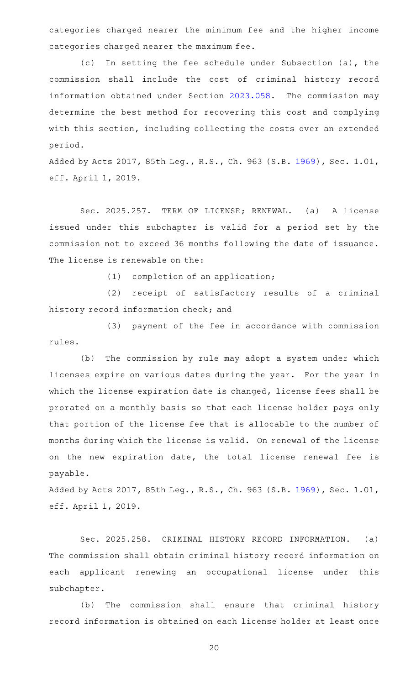categories charged nearer the minimum fee and the higher income categories charged nearer the maximum fee.

(c) In setting the fee schedule under Subsection (a), the commission shall include the cost of criminal history record information obtained under Section [2023.058](http://www.statutes.legis.state.tx.us/GetStatute.aspx?Code=OC&Value=2023.058). The commission may determine the best method for recovering this cost and complying with this section, including collecting the costs over an extended period.

Added by Acts 2017, 85th Leg., R.S., Ch. 963 (S.B. [1969](http://www.legis.state.tx.us/tlodocs/85R/billtext/html/SB01969F.HTM)), Sec. 1.01, eff. April 1, 2019.

Sec. 2025.257. TERM OF LICENSE; RENEWAL. (a) A license issued under this subchapter is valid for a period set by the commission not to exceed 36 months following the date of issuance. The license is renewable on the:

 $(1)$  completion of an application;

(2) receipt of satisfactory results of a criminal history record information check; and

(3) payment of the fee in accordance with commission rules.

(b) The commission by rule may adopt a system under which licenses expire on various dates during the year. For the year in which the license expiration date is changed, license fees shall be prorated on a monthly basis so that each license holder pays only that portion of the license fee that is allocable to the number of months during which the license is valid. On renewal of the license on the new expiration date, the total license renewal fee is payable.

Added by Acts 2017, 85th Leg., R.S., Ch. 963 (S.B. [1969](http://www.legis.state.tx.us/tlodocs/85R/billtext/html/SB01969F.HTM)), Sec. 1.01, eff. April 1, 2019.

Sec. 2025.258. CRIMINAL HISTORY RECORD INFORMATION. (a) The commission shall obtain criminal history record information on each applicant renewing an occupational license under this subchapter.

(b) The commission shall ensure that criminal history record information is obtained on each license holder at least once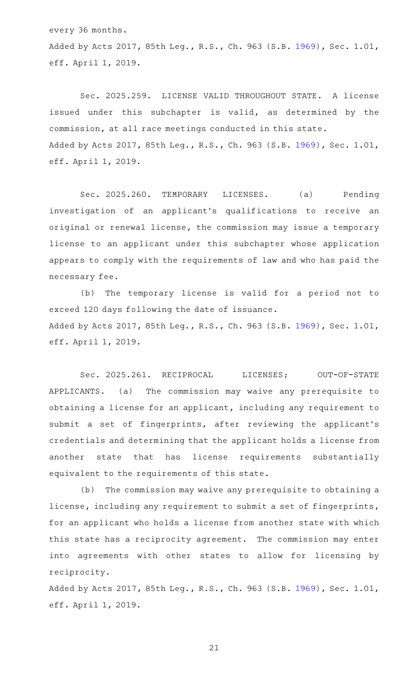every 36 months. Added by Acts 2017, 85th Leg., R.S., Ch. 963 (S.B. [1969](http://www.legis.state.tx.us/tlodocs/85R/billtext/html/SB01969F.HTM)), Sec. 1.01, eff. April 1, 2019.

Sec. 2025.259. LICENSE VALID THROUGHOUT STATE. A license issued under this subchapter is valid, as determined by the commission, at all race meetings conducted in this state. Added by Acts 2017, 85th Leg., R.S., Ch. 963 (S.B. [1969](http://www.legis.state.tx.us/tlodocs/85R/billtext/html/SB01969F.HTM)), Sec. 1.01, eff. April 1, 2019.

Sec. 2025.260. TEMPORARY LICENSES. (a) Pending investigation of an applicant 's qualifications to receive an original or renewal license, the commission may issue a temporary license to an applicant under this subchapter whose application appears to comply with the requirements of law and who has paid the necessary fee.

(b) The temporary license is valid for a period not to exceed 120 days following the date of issuance. Added by Acts 2017, 85th Leg., R.S., Ch. 963 (S.B. [1969](http://www.legis.state.tx.us/tlodocs/85R/billtext/html/SB01969F.HTM)), Sec. 1.01, eff. April 1, 2019.

Sec. 2025.261. RECIPROCAL LICENSES; OUT-OF-STATE APPLICANTS. (a) The commission may waive any prerequisite to obtaining a license for an applicant, including any requirement to submit a set of fingerprints, after reviewing the applicant 's credentials and determining that the applicant holds a license from another state that has license requirements substantially equivalent to the requirements of this state.

(b) The commission may waive any prerequisite to obtaining a license, including any requirement to submit a set of fingerprints, for an applicant who holds a license from another state with which this state has a reciprocity agreement. The commission may enter into agreements with other states to allow for licensing by reciprocity.

Added by Acts 2017, 85th Leg., R.S., Ch. 963 (S.B. [1969](http://www.legis.state.tx.us/tlodocs/85R/billtext/html/SB01969F.HTM)), Sec. 1.01, eff. April 1, 2019.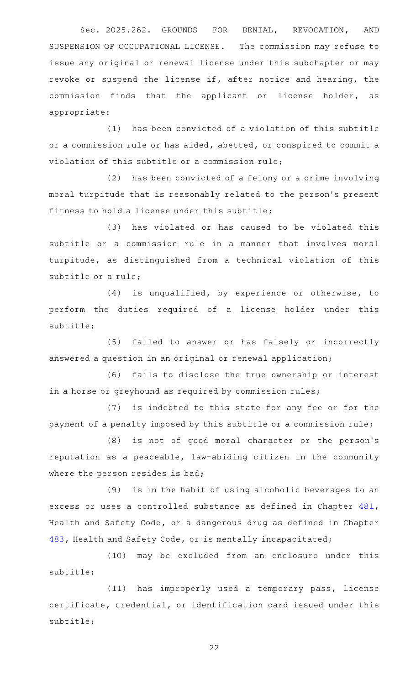Sec. 2025.262. GROUNDS FOR DENIAL, REVOCATION, AND SUSPENSION OF OCCUPATIONAL LICENSE. The commission may refuse to issue any original or renewal license under this subchapter or may revoke or suspend the license if, after notice and hearing, the commission finds that the applicant or license holder, as appropriate:

(1) has been convicted of a violation of this subtitle or a commission rule or has aided, abetted, or conspired to commit a violation of this subtitle or a commission rule;

(2) has been convicted of a felony or a crime involving moral turpitude that is reasonably related to the person 's present fitness to hold a license under this subtitle;

(3) has violated or has caused to be violated this subtitle or a commission rule in a manner that involves moral turpitude, as distinguished from a technical violation of this subtitle or a rule;

 $(4)$  is unqualified, by experience or otherwise, to perform the duties required of a license holder under this subtitle;

(5) failed to answer or has falsely or incorrectly answered a question in an original or renewal application;

(6) fails to disclose the true ownership or interest in a horse or greyhound as required by commission rules;

(7) is indebted to this state for any fee or for the payment of a penalty imposed by this subtitle or a commission rule;

(8) is not of good moral character or the person's reputation as a peaceable, law-abiding citizen in the community where the person resides is bad;

(9) is in the habit of using alcoholic beverages to an excess or uses a controlled substance as defined in Chapter [481](http://www.statutes.legis.state.tx.us/GetStatute.aspx?Code=HS&Value=481), Health and Safety Code, or a dangerous drug as defined in Chapter [483,](http://www.statutes.legis.state.tx.us/GetStatute.aspx?Code=HS&Value=483) Health and Safety Code, or is mentally incapacitated;

(10) may be excluded from an enclosure under this subtitle;

(11) has improperly used a temporary pass, license certificate, credential, or identification card issued under this subtitle;